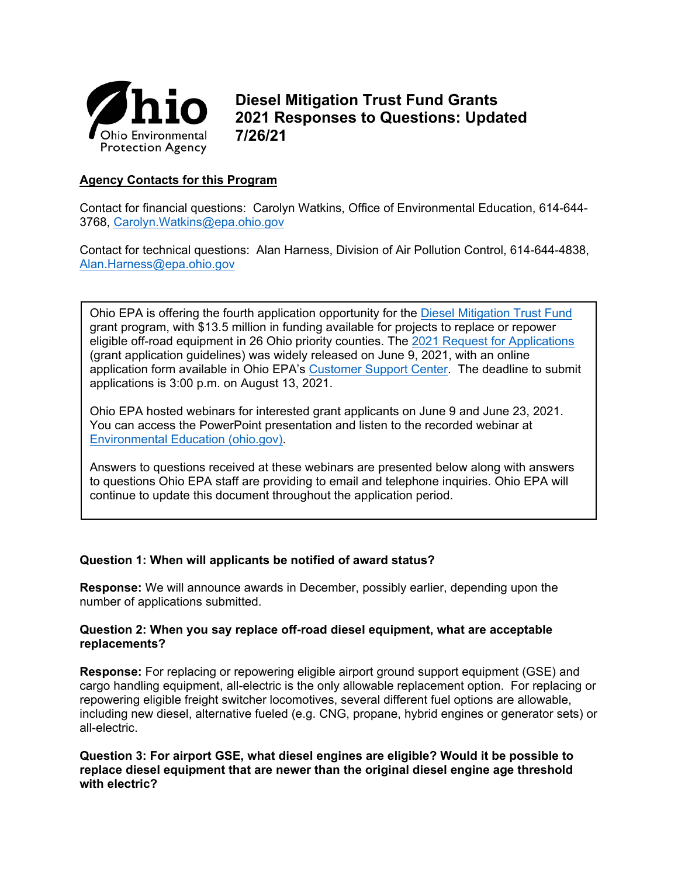

**Diesel Mitigation Trust Fund Grants 2021 Responses to Questions: Updated 7/26/21**

# **Agency Contacts for this Program**

Contact for financial questions: Carolyn Watkins, Office of Environmental Education, 614-644- 3768, [Carolyn.Watkins@epa.ohio.gov](mailto:Carolyn.Watkins@epa.ohio.gov)

Contact for technical questions: Alan Harness, Division of Air Pollution Control, 614-644-4838, [Alan.Harness@epa.ohio.gov](mailto:Alan.Harness@epa.ohio.gov)

Ohio EPA is offering the fourth application opportunity for the [Diesel Mitigation Trust Fund](http://epa.ohio.gov/oee/#131365122-vw-mitigation-grants) grant program, with \$13.5 million in funding available for projects to replace or repower eligible off-road equipment in 26 Ohio priority counties. The [2021 Request for Applications](https://www.epa.ohio.gov/Portals/42/documents/VW/DMTF-RFA-June21.pdf) (grant application guidelines) was widely released on June 9, 2021, with an online application form available in Ohio EPA's [Customer Support Center.](https://ohioepa.custhelp.com/app/utils/create_account/session/L3RpbWUvMTUyNzg1ODc4Ny9nZW4vMTUyNzg1ODc4Ny9zaWQvZlU2RVRnQkgwZWNNN1hZb2E1ekVpJTdFMHlfblRFN2VxNlhqTlBKSW9kNWxDVkxMXyU3RW82emFUbkJ0eDhKZmx5ZyU3RTMxNndKdmpyOFpPRVFXQXNGNDdLbUpsNVBtSzV3RVlBc0xvS0c1aDBSRVIxSXBCRTd1UUZZakNBJTIxJTIx) The deadline to submit applications is 3:00 p.m. on August 13, 2021.

Ohio EPA hosted webinars for interested grant applicants on June 9 and June 23, 2021. You can access the PowerPoint presentation and listen to the recorded webinar at [Environmental Education \(ohio.gov\).](https://www.epa.ohio.gov/oee/#1844010799-dmtf-2021-request-for-applications-to-replace-diesel-off-road-equipment)

Answers to questions received at these webinars are presented below along with answers to questions Ohio EPA staff are providing to email and telephone inquiries. Ohio EPA will continue to update this document throughout the application period.

# **Question 1: When will applicants be notified of award status?**

**Response:** We will announce awards in December, possibly earlier, depending upon the number of applications submitted.

#### **Question 2: When you say replace off-road diesel equipment, what are acceptable replacements?**

**Response:** For replacing or repowering eligible airport ground support equipment (GSE) and cargo handling equipment, all-electric is the only allowable replacement option. For replacing or repowering eligible freight switcher locomotives, several different fuel options are allowable, including new diesel, alternative fueled (e.g. CNG, propane, hybrid engines or generator sets) or all-electric.

# **Question 3: For airport GSE, what diesel engines are eligible? Would it be possible to replace diesel equipment that are newer than the original diesel engine age threshold with electric?**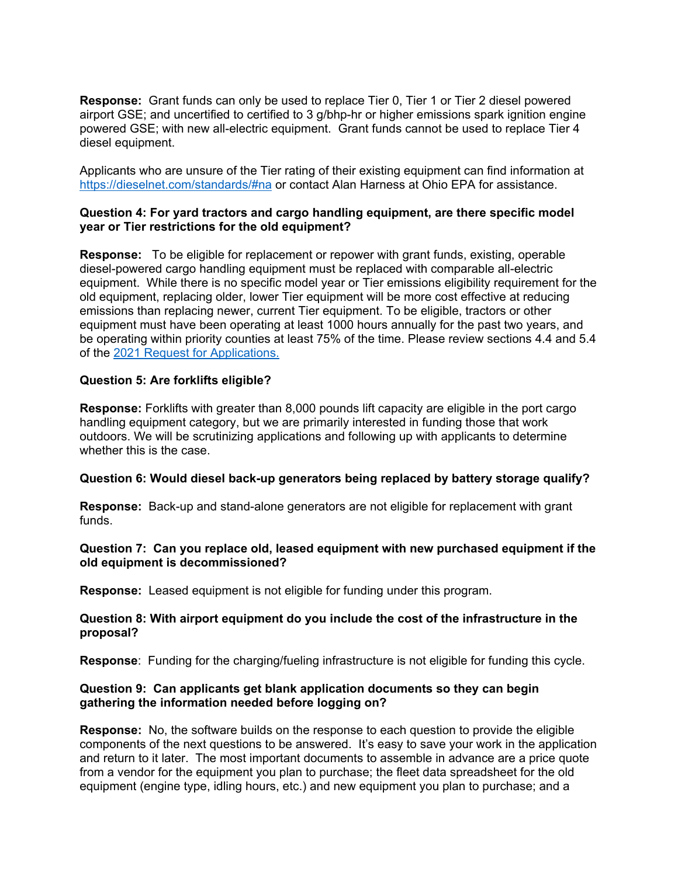**Response:** Grant funds can only be used to replace Tier 0, Tier 1 or Tier 2 diesel powered airport GSE; and uncertified to certified to 3 g/bhp-hr or higher emissions spark ignition engine powered GSE; with new all-electric equipment. Grant funds cannot be used to replace Tier 4 diesel equipment.

Applicants who are unsure of the Tier rating of their existing equipment can find information at <https://dieselnet.com/standards/#na> or contact Alan Harness at Ohio EPA for assistance.

#### **Question 4: For yard tractors and cargo handling equipment, are there specific model year or Tier restrictions for the old equipment?**

**Response:** To be eligible for replacement or repower with grant funds, existing, operable diesel-powered cargo handling equipment must be replaced with comparable all-electric equipment. While there is no specific model year or Tier emissions eligibility requirement for the old equipment, replacing older, lower Tier equipment will be more cost effective at reducing emissions than replacing newer, current Tier equipment. To be eligible, tractors or other equipment must have been operating at least 1000 hours annually for the past two years, and be operating within priority counties at least 75% of the time. Please review sections 4.4 and 5.4 of the [2021 Request for Applications.](https://www.epa.ohio.gov/Portals/42/documents/VW/DMTF-RFA-June21.pdf)

# **Question 5: Are forklifts eligible?**

**Response:** Forklifts with greater than 8,000 pounds lift capacity are eligible in the port cargo handling equipment category, but we are primarily interested in funding those that work outdoors. We will be scrutinizing applications and following up with applicants to determine whether this is the case.

#### **Question 6: Would diesel back-up generators being replaced by battery storage qualify?**

**Response:** Back-up and stand-alone generators are not eligible for replacement with grant funds.

# **Question 7: Can you replace old, leased equipment with new purchased equipment if the old equipment is decommissioned?**

**Response:** Leased equipment is not eligible for funding under this program.

# **Question 8: With airport equipment do you include the cost of the infrastructure in the proposal?**

**Response**: Funding for the charging/fueling infrastructure is not eligible for funding this cycle.

# **Question 9: Can applicants get blank application documents so they can begin gathering the information needed before logging on?**

**Response:** No, the software builds on the response to each question to provide the eligible components of the next questions to be answered. It's easy to save your work in the application and return to it later. The most important documents to assemble in advance are a price quote from a vendor for the equipment you plan to purchase; the fleet data spreadsheet for the old equipment (engine type, idling hours, etc.) and new equipment you plan to purchase; and a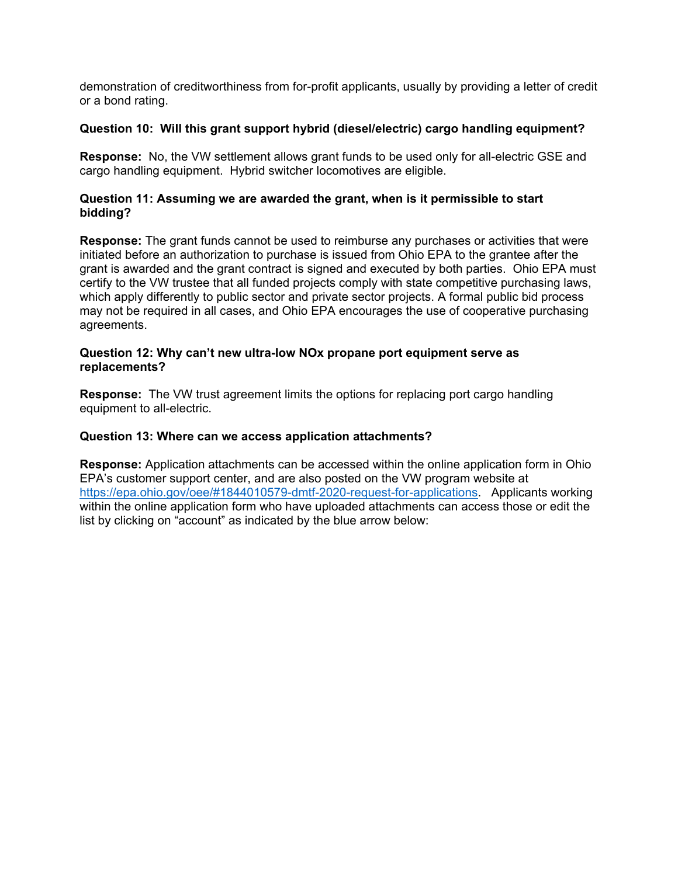demonstration of creditworthiness from for-profit applicants, usually by providing a letter of credit or a bond rating.

# **Question 10: Will this grant support hybrid (diesel/electric) cargo handling equipment?**

**Response:** No, the VW settlement allows grant funds to be used only for all-electric GSE and cargo handling equipment. Hybrid switcher locomotives are eligible.

# **Question 11: Assuming we are awarded the grant, when is it permissible to start bidding?**

**Response:** The grant funds cannot be used to reimburse any purchases or activities that were initiated before an authorization to purchase is issued from Ohio EPA to the grantee after the grant is awarded and the grant contract is signed and executed by both parties. Ohio EPA must certify to the VW trustee that all funded projects comply with state competitive purchasing laws, which apply differently to public sector and private sector projects. A formal public bid process may not be required in all cases, and Ohio EPA encourages the use of cooperative purchasing agreements.

#### **Question 12: Why can't new ultra-low NOx propane port equipment serve as replacements?**

**Response:** The VW trust agreement limits the options for replacing port cargo handling equipment to all-electric.

#### **Question 13: Where can we access application attachments?**

**Response:** Application attachments can be accessed within the online application form in Ohio EPA's customer support center, and are also posted on the VW program website at [https://epa.ohio.gov/oee/#1844010579-dmtf-2020-request-for-applications.](https://epa.ohio.gov/oee/#1844010579-dmtf-2020-request-for-applications) Applicants working within the online application form who have uploaded attachments can access those or edit the list by clicking on "account" as indicated by the blue arrow below: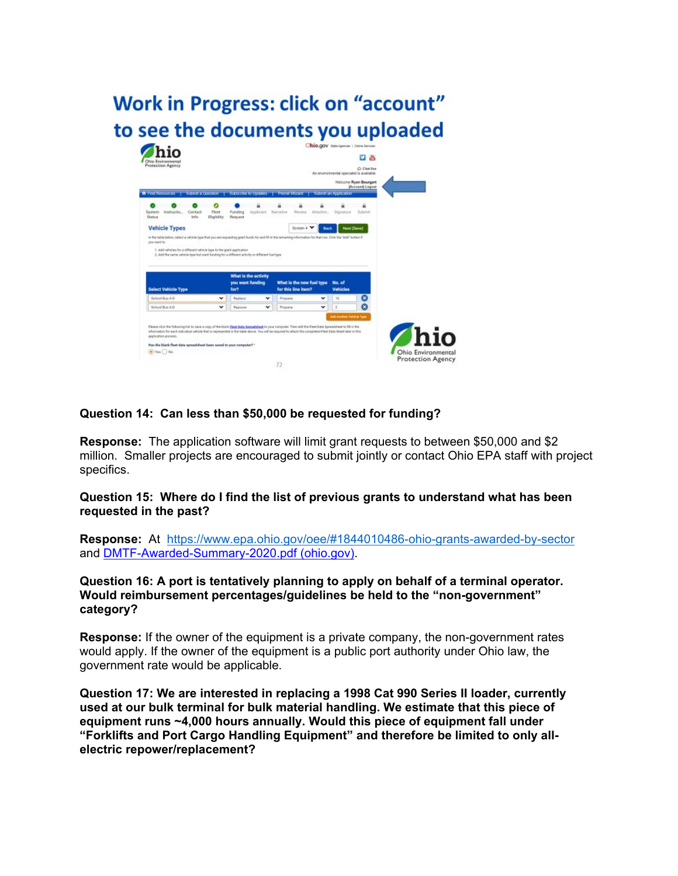

# **Question 14: Can less than \$50,000 be requested for funding?**

**Response:** The application software will limit grant requests to between \$50,000 and \$2 million. Smaller projects are encouraged to submit jointly or contact Ohio EPA staff with project specifics.

**Question 15: Where do I find the list of previous grants to understand what has been requested in the past?**

**Response:** At <https://www.epa.ohio.gov/oee/#1844010486-ohio-grants-awarded-by-sector> and [DMTF-Awarded-Summary-2020.pdf \(ohio.gov\).](https://www.epa.ohio.gov/Portals/42/documents/VW/DMTF-Awarded-Summary-2020.pdf?ver=9Fx30Fr7aI0_vxSZftK68A%3d%3d)

**Question 16: A port is tentatively planning to apply on behalf of a terminal operator. Would reimbursement percentages/guidelines be held to the "non-government" category?**

**Response:** If the owner of the equipment is a private company, the non-government rates would apply. If the owner of the equipment is a public port authority under Ohio law, the government rate would be applicable.

**Question 17: We are interested in replacing a 1998 Cat 990 Series II loader, currently used at our bulk terminal for bulk material handling. We estimate that this piece of equipment runs ~4,000 hours annually. Would this piece of equipment fall under "Forklifts and Port Cargo Handling Equipment" and therefore be limited to only allelectric repower/replacement?**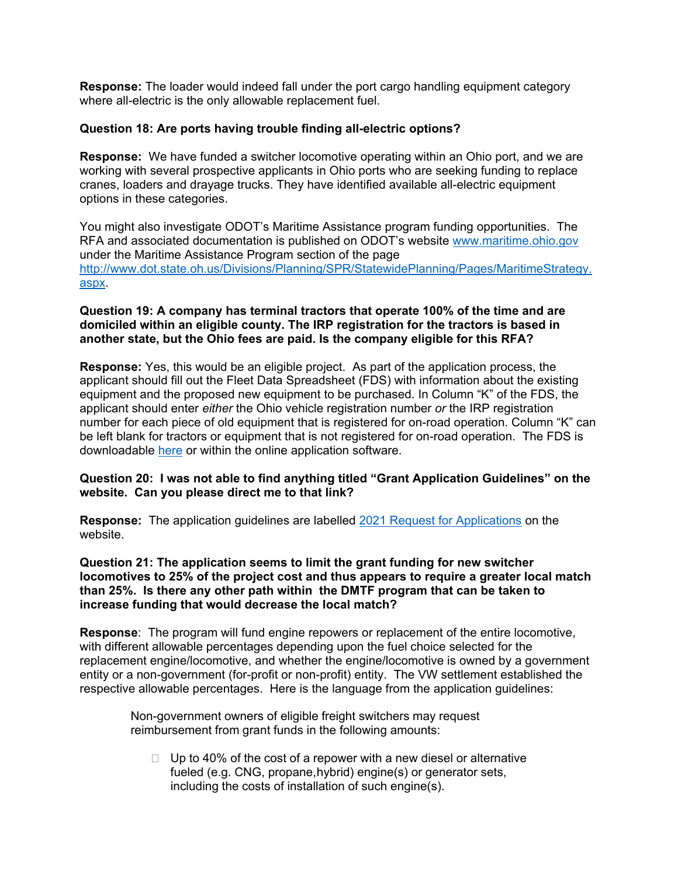**Response:** The loader would indeed fall under the port cargo handling equipment category where all-electric is the only allowable replacement fuel.

# **Question 18: Are ports having trouble finding all-electric options?**

**Response:** We have funded a switcher locomotive operating within an Ohio port, and we are working with several prospective applicants in Ohio ports who are seeking funding to replace cranes, loaders and drayage trucks. They have identified available all-electric equipment options in these categories.

You might also investigate ODOT's Maritime Assistance program funding opportunities. The RFA and associated documentation is published on ODOT's website [www.maritime.ohio.gov](http://www.maritime.ohio.gov/) under the Maritime Assistance Program section of the page [http://www.dot.state.oh.us/Divisions/Planning/SPR/StatewidePlanning/Pages/MaritimeStrategy.](http://www.dot.state.oh.us/Divisions/Planning/SPR/StatewidePlanning/Pages/MaritimeStrategy.aspx) [aspx.](http://www.dot.state.oh.us/Divisions/Planning/SPR/StatewidePlanning/Pages/MaritimeStrategy.aspx)

# **Question 19: A company has terminal tractors that operate 100% of the time and are domiciled within an eligible county. The IRP registration for the tractors is based in another state, but the Ohio fees are paid. Is the company eligible for this RFA?**

**Response:** Yes, this would be an eligible project. As part of the application process, the applicant should fill out the Fleet Data Spreadsheet (FDS) with information about the existing equipment and the proposed new equipment to be purchased. In Column "K" of the FDS, the applicant should enter *either* the Ohio vehicle registration number *or* the IRP registration number for each piece of old equipment that is registered for on-road operation. Column "K" can be left blank for tractors or equipment that is not registered for on-road operation. The FDS is downloadable [here](https://www.epa.ohio.gov/oee/#1844010799-dmtf-2021-request-for-applications-to-replace-diesel-off-road-equipment) or within the online application software.

# **Question 20: I was not able to find anything titled "Grant Application Guidelines" on the website. Can you please direct me to that link?**

**Response:** The application guidelines are labelled [2021 Request for Applications](https://www.epa.ohio.gov/Portals/42/documents/VW/DMTF-RFA-June21.pdf) on the website.

# **Question 21: The application seems to limit the grant funding for new switcher locomotives to 25% of the project cost and thus appears to require a greater local match than 25%. Is there any other path within the DMTF program that can be taken to increase funding that would decrease the local match?**

**Response**: The program will fund engine repowers or replacement of the entire locomotive, with different allowable percentages depending upon the fuel choice selected for the replacement engine/locomotive, and whether the engine/locomotive is owned by a government entity or a non-government (for-profit or non-profit) entity. The VW settlement established the respective allowable percentages. Here is the language from the application guidelines:

Non-government owners of eligible freight switchers may request reimbursement from grant funds in the following amounts:

 $\Box$  Up to 40% of the cost of a repower with a new diesel or alternative fueled (e.g. CNG, propane,hybrid) engine(s) or generator sets, including the costs of installation of such engine(s).